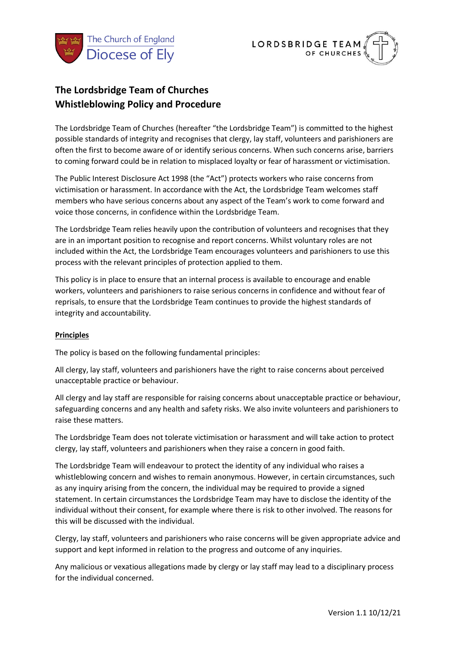



# **The Lordsbridge Team of Churches Whistleblowing Policy and Procedure**

The Lordsbridge Team of Churches (hereafter "the Lordsbridge Team") is committed to the highest possible standards of integrity and recognises that clergy, lay staff, volunteers and parishioners are often the first to become aware of or identify serious concerns. When such concerns arise, barriers to coming forward could be in relation to misplaced loyalty or fear of harassment or victimisation.

The Public Interest Disclosure Act 1998 (the "Act") protects workers who raise concerns from victimisation or harassment. In accordance with the Act, the Lordsbridge Team welcomes staff members who have serious concerns about any aspect of the Team's work to come forward and voice those concerns, in confidence within the Lordsbridge Team.

The Lordsbridge Team relies heavily upon the contribution of volunteers and recognises that they are in an important position to recognise and report concerns. Whilst voluntary roles are not included within the Act, the Lordsbridge Team encourages volunteers and parishioners to use this process with the relevant principles of protection applied to them.

This policy is in place to ensure that an internal process is available to encourage and enable workers, volunteers and parishioners to raise serious concerns in confidence and without fear of reprisals, to ensure that the Lordsbridge Team continues to provide the highest standards of integrity and accountability.

## **Principles**

The policy is based on the following fundamental principles:

All clergy, lay staff, volunteers and parishioners have the right to raise concerns about perceived unacceptable practice or behaviour.

All clergy and lay staff are responsible for raising concerns about unacceptable practice or behaviour, safeguarding concerns and any health and safety risks. We also invite volunteers and parishioners to raise these matters.

The Lordsbridge Team does not tolerate victimisation or harassment and will take action to protect clergy, lay staff, volunteers and parishioners when they raise a concern in good faith.

The Lordsbridge Team will endeavour to protect the identity of any individual who raises a whistleblowing concern and wishes to remain anonymous. However, in certain circumstances, such as any inquiry arising from the concern, the individual may be required to provide a signed statement. In certain circumstances the Lordsbridge Team may have to disclose the identity of the individual without their consent, for example where there is risk to other involved. The reasons for this will be discussed with the individual.

Clergy, lay staff, volunteers and parishioners who raise concerns will be given appropriate advice and support and kept informed in relation to the progress and outcome of any inquiries.

Any malicious or vexatious allegations made by clergy or lay staff may lead to a disciplinary process for the individual concerned.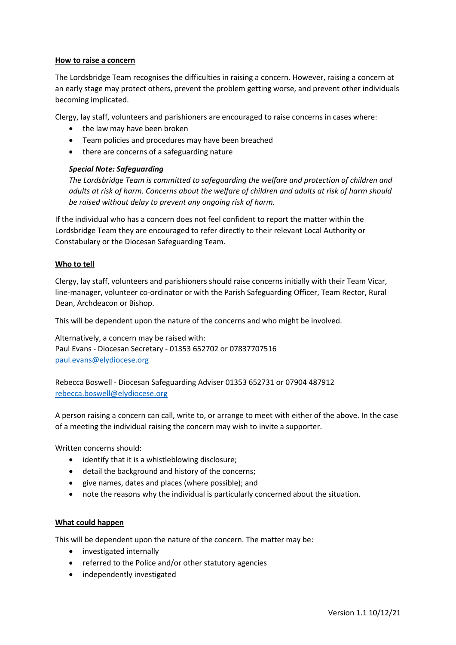## **How to raise a concern**

The Lordsbridge Team recognises the difficulties in raising a concern. However, raising a concern at an early stage may protect others, prevent the problem getting worse, and prevent other individuals becoming implicated.

Clergy, lay staff, volunteers and parishioners are encouraged to raise concerns in cases where:

- the law may have been broken
- Team policies and procedures may have been breached
- there are concerns of a safeguarding nature

## *Special Note: Safeguarding*

*The Lordsbridge Team is committed to safeguarding the welfare and protection of children and adults at risk of harm. Concerns about the welfare of children and adults at risk of harm should be raised without delay to prevent any ongoing risk of harm.*

If the individual who has a concern does not feel confident to report the matter within the Lordsbridge Team they are encouraged to refer directly to their relevant Local Authority or Constabulary or the Diocesan Safeguarding Team.

## **Who to tell**

Clergy, lay staff, volunteers and parishioners should raise concerns initially with their Team Vicar, line-manager, volunteer co-ordinator or with the Parish Safeguarding Officer, Team Rector, Rural Dean, Archdeacon or Bishop.

This will be dependent upon the nature of the concerns and who might be involved.

Alternatively, a concern may be raised with: Paul Evans - Diocesan Secretary - 01353 652702 or 07837707516 [paul.evans@elydiocese.org](mailto:paul.evans@elydiocese.org)

Rebecca Boswell - Diocesan Safeguarding Adviser 01353 652731 or 07904 487912 [rebecca.boswell@elydiocese.org](mailto:rebecca.boswell@elydiocese.org)

A person raising a concern can call, write to, or arrange to meet with either of the above. In the case of a meeting the individual raising the concern may wish to invite a supporter.

Written concerns should:

- identify that it is a whistleblowing disclosure;
- detail the background and history of the concerns;
- give names, dates and places (where possible); and
- note the reasons why the individual is particularly concerned about the situation.

## **What could happen**

This will be dependent upon the nature of the concern. The matter may be:

- investigated internally
- referred to the Police and/or other statutory agencies
- independently investigated